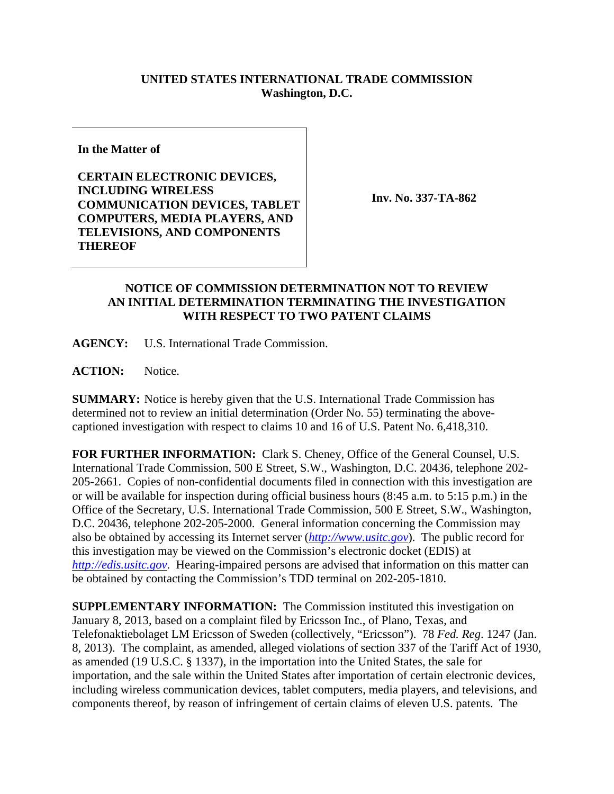## **UNITED STATES INTERNATIONAL TRADE COMMISSION Washington, D.C.**

**In the Matter of** 

**CERTAIN ELECTRONIC DEVICES, INCLUDING WIRELESS COMMUNICATION DEVICES, TABLET COMPUTERS, MEDIA PLAYERS, AND TELEVISIONS, AND COMPONENTS THEREOF** 

**Inv. No. 337-TA-862**

## **NOTICE OF COMMISSION DETERMINATION NOT TO REVIEW AN INITIAL DETERMINATION TERMINATING THE INVESTIGATION WITH RESPECT TO TWO PATENT CLAIMS**

**AGENCY:** U.S. International Trade Commission.

**ACTION:** Notice.

**SUMMARY:** Notice is hereby given that the U.S. International Trade Commission has determined not to review an initial determination (Order No. 55) terminating the abovecaptioned investigation with respect to claims 10 and 16 of U.S. Patent No. 6,418,310.

**FOR FURTHER INFORMATION:** Clark S. Cheney, Office of the General Counsel, U.S. International Trade Commission, 500 E Street, S.W., Washington, D.C. 20436, telephone 202- 205-2661. Copies of non-confidential documents filed in connection with this investigation are or will be available for inspection during official business hours (8:45 a.m. to 5:15 p.m.) in the Office of the Secretary, U.S. International Trade Commission, 500 E Street, S.W., Washington, D.C. 20436, telephone 202-205-2000. General information concerning the Commission may also be obtained by accessing its Internet server (*http://www.usitc.gov*). The public record for this investigation may be viewed on the Commission's electronic docket (EDIS) at *http://edis.usitc.gov*. Hearing-impaired persons are advised that information on this matter can be obtained by contacting the Commission's TDD terminal on 202-205-1810.

**SUPPLEMENTARY INFORMATION:** The Commission instituted this investigation on January 8, 2013, based on a complaint filed by Ericsson Inc., of Plano, Texas, and Telefonaktiebolaget LM Ericsson of Sweden (collectively, "Ericsson"). 78 *Fed. Reg*. 1247 (Jan. 8, 2013). The complaint, as amended, alleged violations of section 337 of the Tariff Act of 1930, as amended (19 U.S.C. § 1337), in the importation into the United States, the sale for importation, and the sale within the United States after importation of certain electronic devices, including wireless communication devices, tablet computers, media players, and televisions, and components thereof, by reason of infringement of certain claims of eleven U.S. patents. The